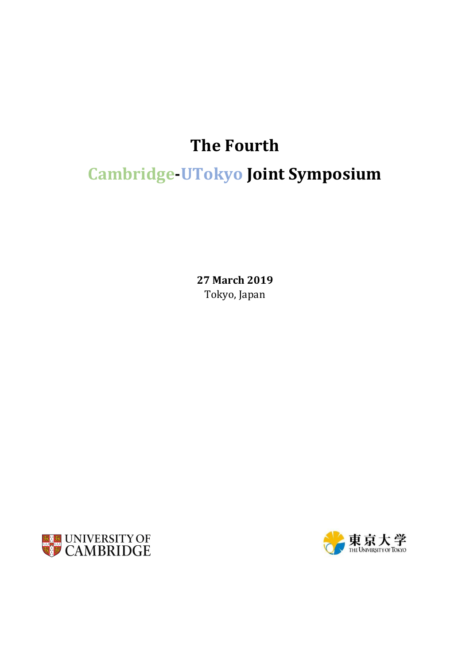## **The Fourth**

# **Cambridge-UTokyo Joint Symposium**

**27 March 2019** Tokyo, Japan



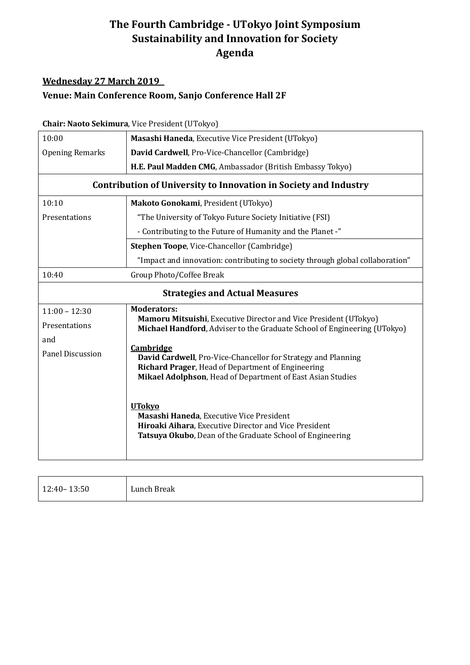### **The Fourth Cambridge - UTokyo Joint Symposium Sustainability and Innovation for Society Agenda**

#### **Wednesday 27 March 2019**

#### **Venue: Main Conference Room, Sanjo Conference Hall 2F**

#### **Chair: Naoto Sekimura**, Vice President (UTokyo)

| 10:00                                                                   | Masashi Haneda, Executive Vice President (UTokyo)                                                                                            |  |
|-------------------------------------------------------------------------|----------------------------------------------------------------------------------------------------------------------------------------------|--|
| <b>Opening Remarks</b>                                                  | David Cardwell, Pro-Vice-Chancellor (Cambridge)                                                                                              |  |
|                                                                         | H.E. Paul Madden CMG, Ambassador (British Embassy Tokyo)                                                                                     |  |
| <b>Contribution of University to Innovation in Society and Industry</b> |                                                                                                                                              |  |
| 10:10                                                                   | Makoto Gonokami, President (UTokyo)                                                                                                          |  |
| Presentations                                                           | "The University of Tokyo Future Society Initiative (FSI)                                                                                     |  |
|                                                                         | - Contributing to the Future of Humanity and the Planet -"                                                                                   |  |
|                                                                         | Stephen Toope, Vice-Chancellor (Cambridge)                                                                                                   |  |
|                                                                         | "Impact and innovation: contributing to society through global collaboration"                                                                |  |
| 10:40                                                                   | Group Photo/Coffee Break                                                                                                                     |  |
| <b>Strategies and Actual Measures</b>                                   |                                                                                                                                              |  |
| $11:00 - 12:30$                                                         | <b>Moderators:</b>                                                                                                                           |  |
| Presentations                                                           | Mamoru Mitsuishi, Executive Director and Vice President (UTokyo)<br>Michael Handford, Adviser to the Graduate School of Engineering (UTokyo) |  |
| and                                                                     |                                                                                                                                              |  |
| Panel Discussion                                                        | <b>Cambridge</b><br>David Cardwell, Pro-Vice-Chancellor for Strategy and Planning                                                            |  |
|                                                                         | Richard Prager, Head of Department of Engineering                                                                                            |  |
|                                                                         | Mikael Adolphson, Head of Department of East Asian Studies                                                                                   |  |
|                                                                         | <b>UTokyo</b><br>Masashi Haneda, Executive Vice President<br>Hiroaki Aihara, Executive Director and Vice President                           |  |
|                                                                         | Tatsuya Okubo, Dean of the Graduate School of Engineering                                                                                    |  |

| $12:40 - 13:50$ | Lunch Break |
|-----------------|-------------|
|                 |             |